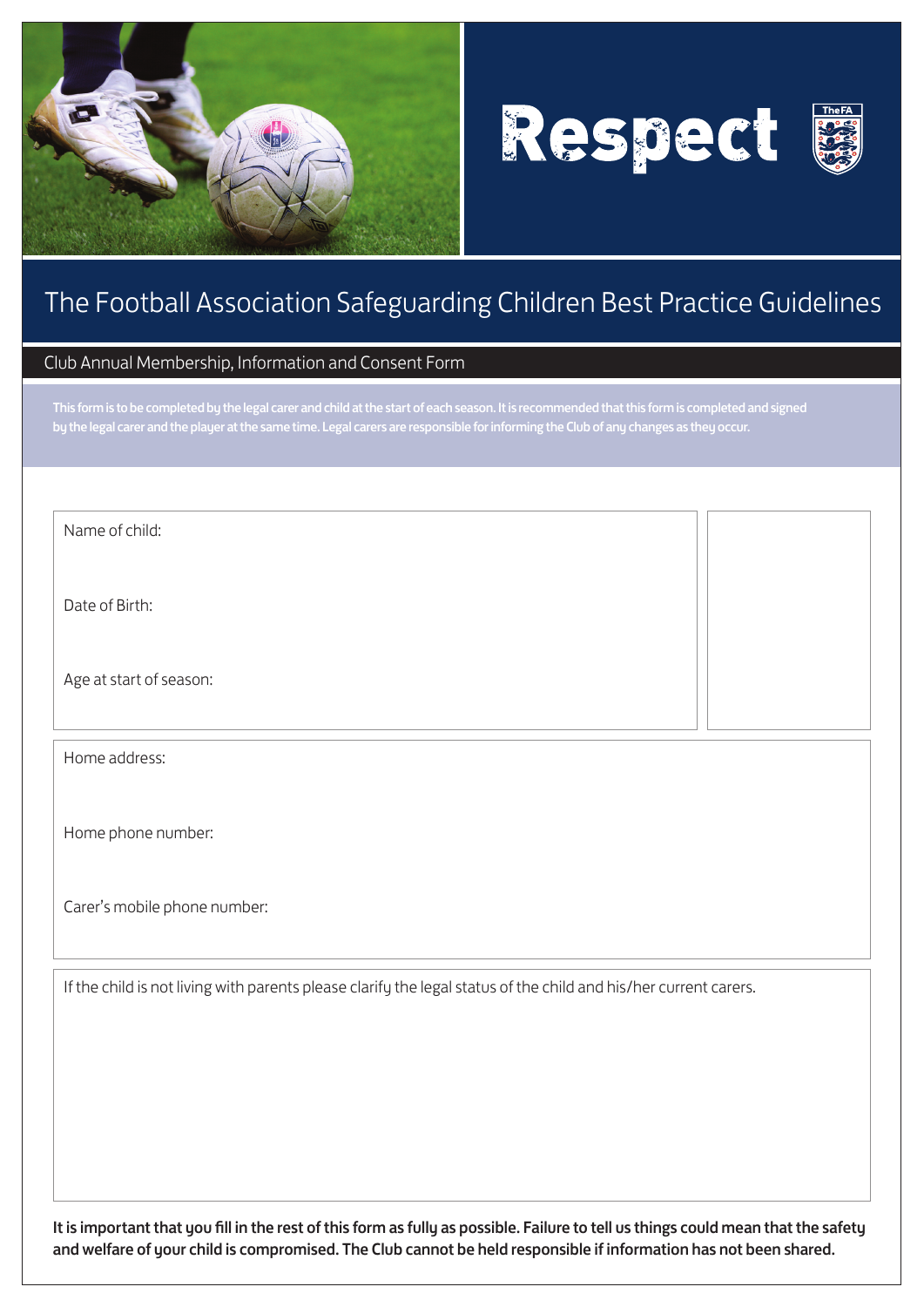





# The Football Association Safeguarding Children Best Practice Guidelines

# Club Annual Membership, Information and Consent Form

This form is to be completed by the legal carer and child at the start of each season. It is recommended that this form is completed and signed by the legal carer and the player at the same time. Legal carers are responsible for informing the Club of any changes as they occur.

Name of child:

Date of Birth:

Age at start of season:

Home address:

Home phone number:

Carer's mobile phone number:

If the child is not living with parents please clarify the legal status of the child and his/her current carers.

It is important that you fill in the rest of this form as fully as possible. Failure to tell us things could mean that the safety and welfare of your child is compromised. The Club cannot be held responsible if information has not been shared.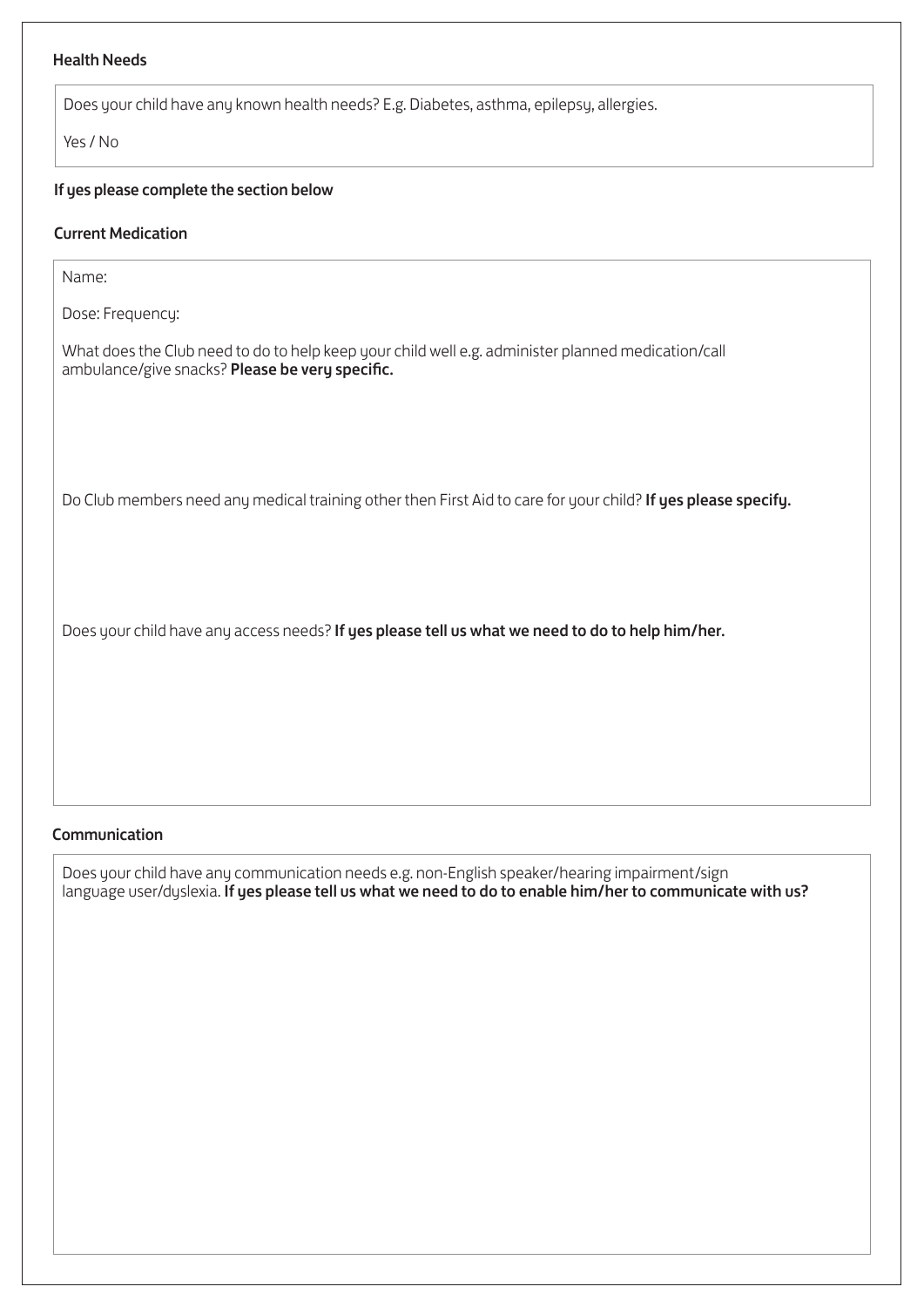# Health Needs

Does your child have any known health needs? E.g. Diabetes, asthma, epilepsy, allergies.

Yes / No

## If yes please complete the section below

## Current Medication

Name:

Dose: Frequency:

What does the Club need to do to help keep your child well e.g. administer planned medication/call ambulance/give snacks? Please be very specific.

Do Club members need any medical training other then First Aid to care for your child? If yes please specify.

Does your child have any access needs? If yes please tell us what we need to do to help him/her.

## Communication

Does your child have any communication needs e.g. non-English speaker/hearing impairment/sign language user/dyslexia. If yes please tell us what we need to do to enable him/her to communicate with us?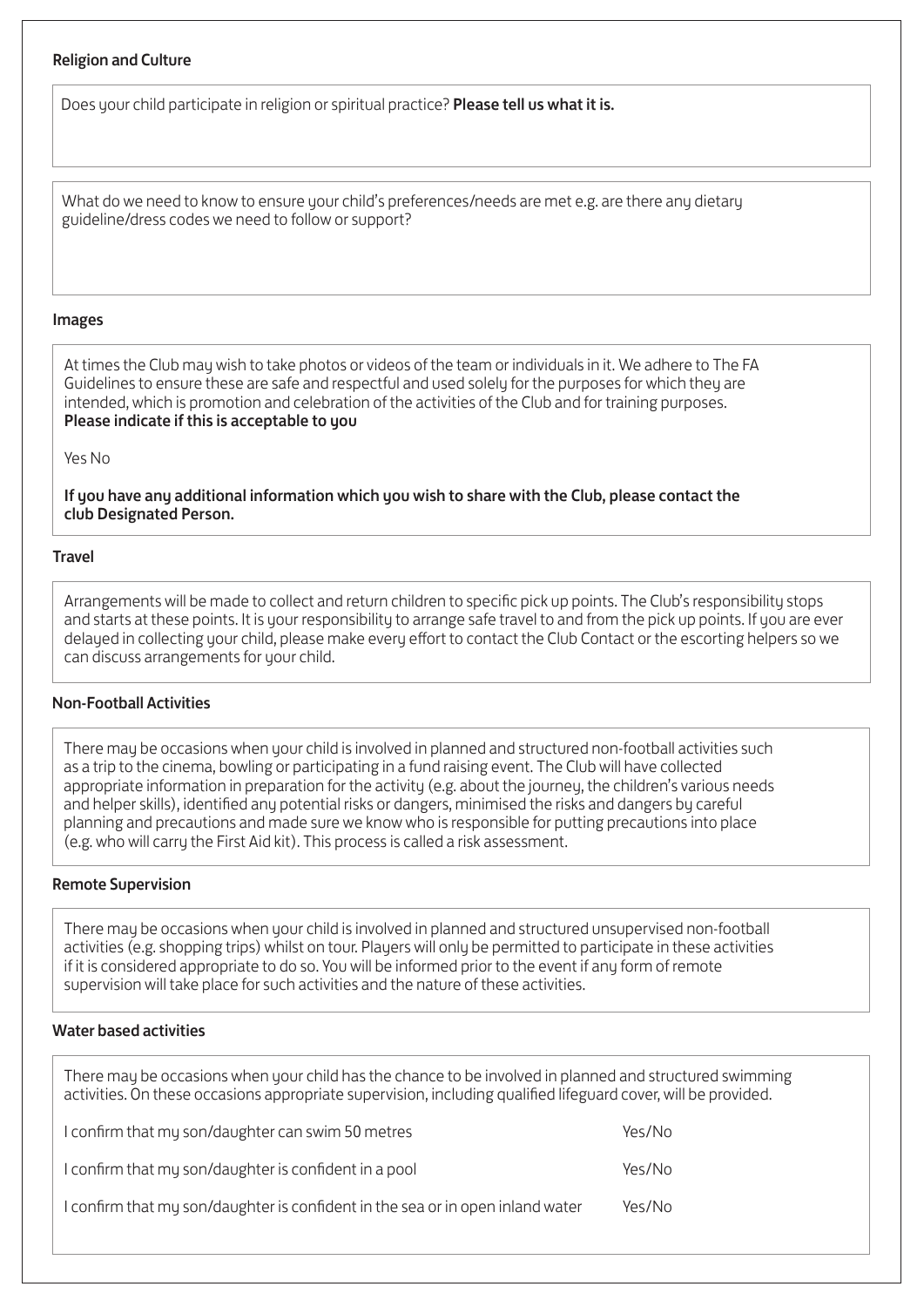## Religion and Culture

Does your child participate in religion or spiritual practice? **Please tell us what it is.** 

What do we need to know to ensure your child's preferences/needs are met e.g. are there any dietary guideline/dress codes we need to follow or support?

## Images

At times the Club may wish to take photos or videos of the team or individuals in it. We adhere to The FA Guidelines to ensure these are safe and respectful and used solely for the purposes for which they are intended, which is promotion and celebration of the activities of the Club and for training purposes. Please indicate if this is acceptable to you

Yes No

If you have any additional information which you wish to share with the Club, please contact the club Designated Person.

#### **Travel**

Arrangements will be made to collect and return children to specific pick up points. The Club's responsibility stops and starts at these points. It is your responsibility to arrange safe travel to and from the pick up points. If you are ever delayed in collecting your child, please make every effort to contact the Club Contact or the escorting helpers so we can discuss arrangements for your child.

## Non-Football Activities

There may be occasions when your child is involved in planned and structured non-football activities such as a trip to the cinema, bowling or participating in a fund raising event. The Club will have collected appropriate information in preparation for the activity (e.g. about the journey, the children's various needs and helper skills), identified any potential risks or dangers, minimised the risks and dangers by careful planning and precautions and made sure we know who is responsible for putting precautions into place (e.g. who will carry the First Aid kit). This process is called a risk assessment.

## Remote Supervision

There may be occasions when your child is involved in planned and structured unsupervised non-football activities (e.g. shopping trips) whilst on tour. Players will only be permitted to participate in these activities if it is considered appropriate to do so. You will be informed prior to the event if any form of remote supervision will take place for such activities and the nature of these activities.

## Water based activities

There may be occasions when your child has the chance to be involved in planned and structured swimming activities. On these occasions appropriate supervision, including qualified lifeguard cover, will be provided.

| I confirm that my son/daughter can swim 50 metres                              | Yes/No |
|--------------------------------------------------------------------------------|--------|
| I confirm that my son/daughter is confident in a pool                          | Yes/No |
| I confirm that my son/daughter is confident in the sea or in open inland water | Yes/No |